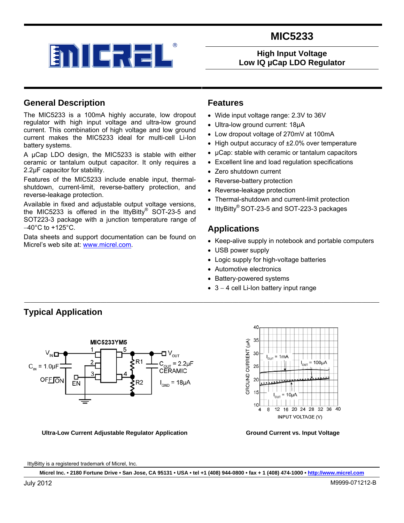

### **General Description**

**Typical Application** 

The MIC5233 is a 100mA highly accurate, low dropout regulator with high input voltage and ultra-low ground current. This combination of high voltage and low ground current makes the MIC5233 ideal for multi-cell Li-Ion battery systems.

A µCap LDO design, the MIC5233 is stable with either ceramic or tantalum output capacitor. It only requires a 2.2µF capacitor for stability.

Features of the MIC5233 include enable input, thermalshutdown, current-limit, reverse-battery protection, and reverse-leakage protection.

Available in fixed and adjustable output voltage versions, the MIC5233 is offered in the IttyBitty® SOT-23-5 and SOT223-3 package with a junction temperature range of −40°C to +125°C.

Data sheets and support documentation can be found on Micrel's web site at: [www.micrel.com.](http://www.micrel.com/)

### **Features**

- Wide input voltage range: 2.3V to 36V
- Ultra-low ground current: 18µA
- Low dropout voltage of 270mV at 100mA
- High output accuracy of ±2.0% over temperature
- µCap: stable with ceramic or tantalum capacitors
- Excellent line and load regulation specifications
- Zero shutdown current
- Reverse-battery protection
- Reverse-leakage protection
- Thermal-shutdown and current-limit protection
- IttyBitty<sup>®</sup> SOT-23-5 and SOT-223-3 packages

### **Applications**

- Keep-alive supply in notebook and portable computers
- USB power supply
- Logic supply for high-voltage batteries
- Automotive electronics
- Battery-powered systems
- 3 − 4 cell Li-Ion battery input range



Ultra-Low Current Adjustable Regulator Application **Ground Current vs. Input Voltage** 



IttyBitty is a registered trademark of Micrel, Inc.

**Micrel Inc. • 2180 Fortune Drive • San Jose, CA 95131 • USA • tel +1 (408) 944-0800 • fax + 1 (408) 474-1000 • http://www.micrel.com** 

 $\mathcal{L}_\mathcal{L} = \{ \mathcal{L}_\mathcal{L} = \{ \mathcal{L}_\mathcal{L} = \{ \mathcal{L}_\mathcal{L} = \{ \mathcal{L}_\mathcal{L} = \{ \mathcal{L}_\mathcal{L} = \{ \mathcal{L}_\mathcal{L} = \{ \mathcal{L}_\mathcal{L} = \{ \mathcal{L}_\mathcal{L} = \{ \mathcal{L}_\mathcal{L} = \{ \mathcal{L}_\mathcal{L} = \{ \mathcal{L}_\mathcal{L} = \{ \mathcal{L}_\mathcal{L} = \{ \mathcal{L}_\mathcal{L} = \{ \mathcal{L}_\mathcal{$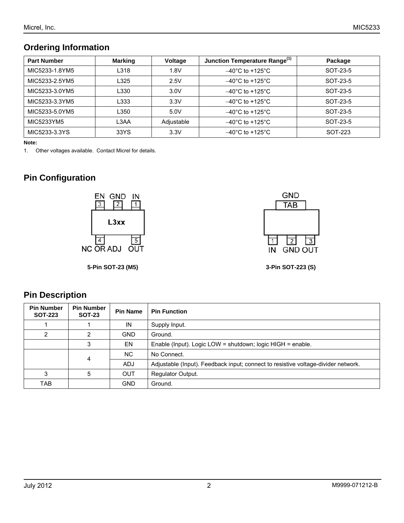## **Ordering Information**

| <b>Part Number</b> | <b>Marking</b> | Voltage    | Junction Temperature Range <sup>(1)</sup> | Package  |
|--------------------|----------------|------------|-------------------------------------------|----------|
| MIC5233-1.8YM5     | L318           | 1.8V       | $-40^{\circ}$ C to +125 $^{\circ}$ C      | SOT-23-5 |
| MIC5233-2.5YM5     | L325           | 2.5V       | $-40^{\circ}$ C to +125 $^{\circ}$ C      | SOT-23-5 |
| MIC5233-3.0YM5     | L330           | 3.0V       | $-40^{\circ}$ C to +125 $^{\circ}$ C      | SOT-23-5 |
| MIC5233-3.3YM5     | L333           | 3.3V       | $-40^{\circ}$ C to +125 $^{\circ}$ C      | SOT-23-5 |
| MIC5233-5.0YM5     | L350           | 5.0V       | $-40^{\circ}$ C to +125 $^{\circ}$ C      | SOT-23-5 |
| MIC5233YM5         | L3AA           | Adjustable | $-40^{\circ}$ C to +125 $^{\circ}$ C      | SOT-23-5 |
| MIC5233-3.3YS      | 33YS           | 3.3V       | $-40^{\circ}$ C to +125 $^{\circ}$ C      | SOT-223  |

**Note:** 

1. Other voltages available. Contact Micrel for details.

## **Pin Configuration**

**Pin Description** 



**5-Pin SOT-23 (M5) 3-Pin SOT-223 (S)** 



#### **Pin Number SOT-223 Pin Number Pin Name | Pin Function** 1 | 1 | IN Supply Input. 2 | 2 | GND Ground. 3 EN Enable (Input). Logic LOW = shutdown; logic HIGH = enable. NC | No Connect. 4 ADJ Adjustable (Input). Feedback input; connect to resistive voltage-divider network. 3 | 5 | OUT | Regulator Output. TAB | GND Ground.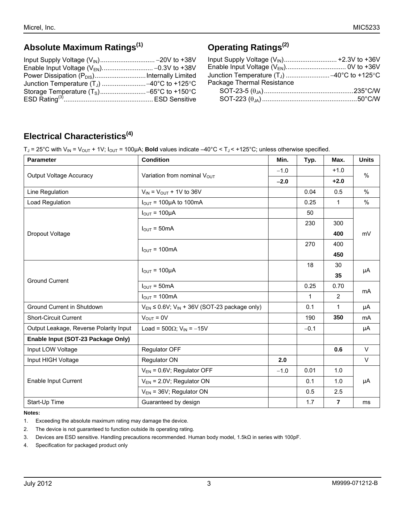## **Absolute Maximum Ratings(1)**

# **Operating Ratings(2)**

# **Electrical Characteristics(4)**

T<sub>J</sub> = 25°C with V<sub>IN</sub> = V<sub>OUT</sub> + 1V; I<sub>OUT</sub> = 100µA; **Bold** values indicate –40°C < T<sub>J</sub> < +125°C; unless otherwise specified.

| <b>Parameter</b>                       | <b>Condition</b>                                         | Min.   | Typ.         | Max.           | <b>Units</b> |  |
|----------------------------------------|----------------------------------------------------------|--------|--------------|----------------|--------------|--|
| <b>Output Voltage Accuracy</b>         | Variation from nominal V <sub>OUT</sub>                  | $-1.0$ |              | $+1.0$         | %            |  |
|                                        |                                                          |        |              | $+2.0$         |              |  |
| Line Regulation                        | $V_{IN}$ = $V_{OUT}$ + 1V to 36V                         |        | 0.04         | 0.5            | $\%$         |  |
| Load Regulation                        | $I_{\text{OUT}}$ = 100µA to 100mA                        |        | 0.25         | 1              | $\%$         |  |
|                                        | $I_{OUT} = 100 \mu A$                                    |        | 50           |                |              |  |
|                                        | $I_{\text{OUT}} = 50 \text{mA}$                          |        | 230          | 300            |              |  |
| Dropout Voltage                        |                                                          |        |              | 400            | mV           |  |
|                                        | $I_{\text{OUT}} = 100 \text{mA}$                         |        | 270          | 400            |              |  |
|                                        |                                                          |        |              | 450            |              |  |
|                                        | $I_{\text{OUT}} = 100 \mu A$                             |        | 18           | 30             | μA           |  |
| <b>Ground Current</b>                  |                                                          |        |              | 35             |              |  |
|                                        | $I_{\text{OUT}} = 50 \text{mA}$                          |        | 0.25         | 0.70           | mA           |  |
|                                        | $I_{\text{OUT}} = 100 \text{mA}$                         |        | $\mathbf{1}$ | 2              |              |  |
| Ground Current in Shutdown             | $V_{EN} \le 0.6V$ ; $V_{IN}$ + 36V (SOT-23 package only) |        | 0.1          | 1              | μA           |  |
| <b>Short-Circuit Current</b>           | $V_{OUT} = 0V$                                           |        | 190          | 350            | mA           |  |
| Output Leakage, Reverse Polarity Input | Load = 500 $\Omega$ ; V <sub>IN</sub> = -15V             |        | $-0.1$       |                | μA           |  |
| Enable Input (SOT-23 Package Only)     |                                                          |        |              |                |              |  |
| Input LOW Voltage                      | Regulator OFF                                            |        |              | 0.6            | $\vee$       |  |
| Input HIGH Voltage                     | Regulator ON                                             | 2.0    |              |                | $\vee$       |  |
|                                        | $V_{EN}$ = 0.6V; Regulator OFF                           | $-1.0$ | 0.01         | 1.0            | μA           |  |
| Enable Input Current                   | $V_{EN}$ = 2.0V; Regulator ON                            |        | 0.1          | 1.0            |              |  |
|                                        | $V_{EN}$ = 36V; Regulator ON                             |        | 0.5          | 2.5            |              |  |
| Start-Up Time                          | Guaranteed by design                                     |        | 1.7          | $\overline{7}$ | ms           |  |

#### **Notes:**

1. Exceeding the absolute maximum rating may damage the device.

2. The device is not guaranteed to function outside its operating rating.

3. Devices are ESD sensitive. Handling precautions recommended. Human body model, 1.5kΩ in series with 100pF.

4. Specification for packaged product only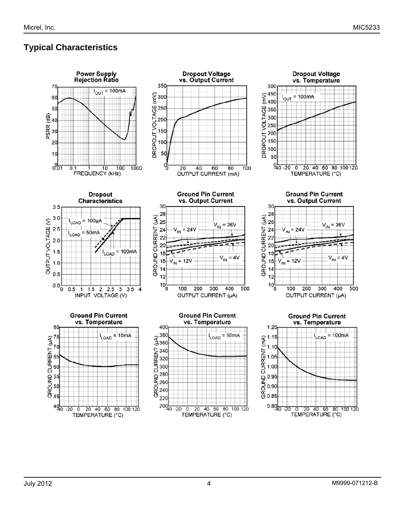## **Typical Characteristics**

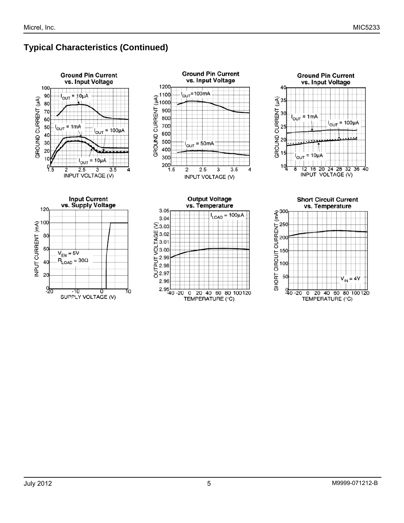## **Typical Characteristics (Continued)**

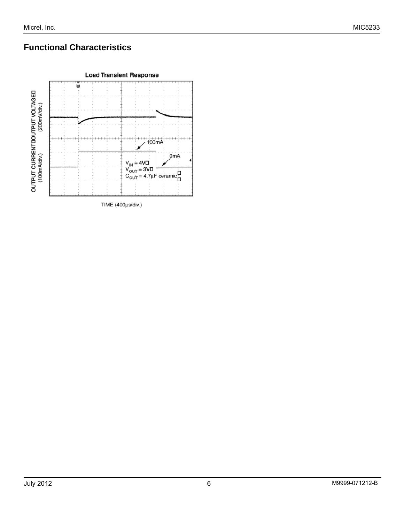# **Functional Characteristics**

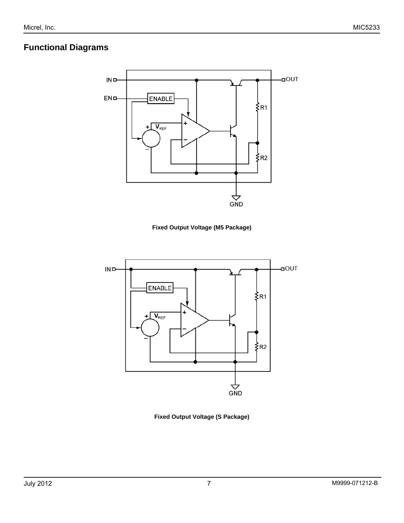## **Functional Diagrams**



**Fixed Output Voltage (M5 Package)** 



**Fixed Output Voltage (S Package)**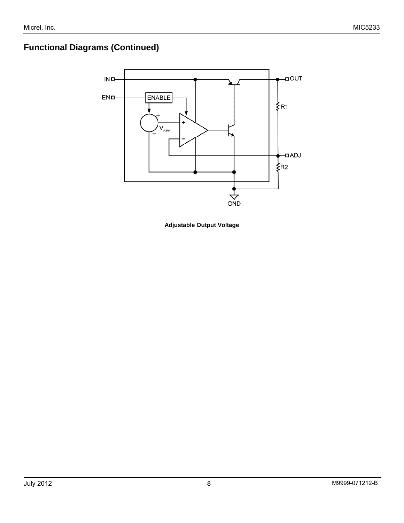# **Functional Diagrams (Continued)**



**Adjustable Output Voltage**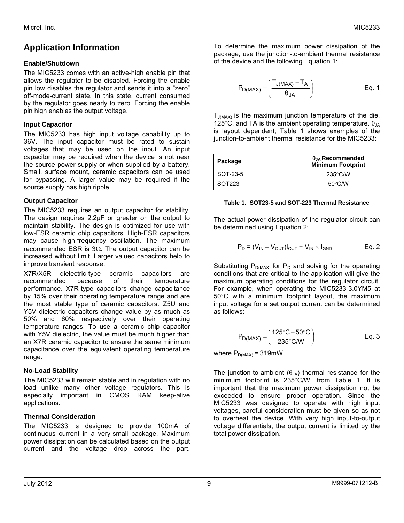### **Application Information**

#### **Enable/Shutdown**

The MIC5233 comes with an active-high enable pin that allows the regulator to be disabled. Forcing the enable pin low disables the regulator and sends it into a "zero" off-mode-current state. In this state, current consumed by the regulator goes nearly to zero. Forcing the enable pin high enables the output voltage.

### **Input Capacitor**

The MIC5233 has high input voltage capability up to 36V. The input capacitor must be rated to sustain voltages that may be used on the input. An input capacitor may be required when the device is not near the source power supply or when supplied by a battery. Small, surface mount, ceramic capacitors can be used for bypassing. A larger value may be required if the source supply has high ripple.

### **Output Capacitor**

The MIC5233 requires an output capacitor for stability. The design requires 2.2µF or greater on the output to maintain stability. The design is optimized for use with low-ESR ceramic chip capacitors. High-ESR capacitors may cause high-frequency oscillation. The maximum recommended ESR is 3Ω. The output capacitor can be increased without limit. Larger valued capacitors help to improve transient response.

X7R/X5R dielectric-type ceramic capacitors are recommended because of their temperature performance. X7R-type capacitors change capacitance by 15% over their operating temperature range and are the most stable type of ceramic capacitors. Z5U and Y5V dielectric capacitors change value by as much as 50% and 60% respectively over their operating temperature ranges. To use a ceramic chip capacitor with Y5V dielectric, the value must be much higher than an X7R ceramic capacitor to ensure the same minimum capacitance over the equivalent operating temperature range.

### **No-Load Stability**

The MIC5233 will remain stable and in regulation with no load unlike many other voltage regulators. This is especially important in CMOS RAM keep-alive applications.

### **Thermal Consideration**

The MIC5233 is designed to provide 100mA of continuous current in a very-small package. Maximum power dissipation can be calculated based on the output current and the voltage drop across the part. To determine the maximum power dissipation of the package, use the junction-to-ambient thermal resistance of the device and the following Equation 1:

$$
P_{D(MAX)} = \left(\frac{T_{J(MAX)} - T_A}{\theta_{JA}}\right)
$$
 Eq. 1

 $T_{J(MAX)}$  is the maximum junction temperature of the die, 125°C, and TA is the ambient operating temperature.  $\theta_{JA}$ is layout dependent; Table 1 shows examples of the junction-to-ambient thermal resistance for the MIC5233:

| Package  | $\theta_{JA}$ Recommended<br><b>Minimum Footprint</b> |  |  |
|----------|-------------------------------------------------------|--|--|
| SOT-23-5 | $235^{\circ}$ C/W                                     |  |  |
| SOT223   | $50^{\circ}$ C/W                                      |  |  |

#### **Table 1. SOT23-5 and SOT-223 Thermal Resistance**

The actual power dissipation of the regulator circuit can be determined using Equation 2:

$$
P_D = (V_{IN} - V_{OUT})I_{OUT} + V_{IN} \times I_{GND}
$$
 Eq. 2

Substituting  $P_{D(MAX)}$  for  $P_D$  and solving for the operating conditions that are critical to the application will give the maximum operating conditions for the regulator circuit. For example, when operating the MIC5233-3.0YM5 at 50°C with a minimum footprint layout, the maximum input voltage for a set output current can be determined as follows:

$$
P_{D(MAX)} = \left(\frac{125^{\circ}C - 50^{\circ}C}{235^{\circ}C/W}\right) \qquad \qquad Eq. 3
$$

where  $P_{D(MAX)} = 319$ mW.

The junction-to-ambient  $(\theta_A)$  thermal resistance for the minimum footprint is 235°C/W, from Table 1. It is important that the maximum power dissipation not be exceeded to ensure proper operation. Since the MIC5233 was designed to operate with high input voltages, careful consideration must be given so as not to overheat the device. With very high input-to-output voltage differentials, the output current is limited by the total power dissipation.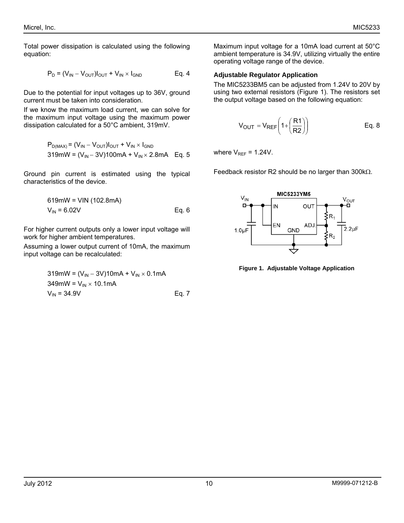Total power dissipation is calculated using the following equation:

$$
P_D = (V_{IN} - V_{OUT})I_{OUT} + V_{IN} \times I_{GND} \qquad Eq. 4
$$

Due to the potential for input voltages up to 36V, ground current must be taken into consideration.

If we know the maximum load current, we can solve for the maximum input voltage using the maximum power dissipation calculated for a  $50^{\circ}$ C ambient, 319mV.

$$
P_{D(MAX)} = (V_{IN} - V_{OUT})I_{OUT} + V_{IN} \times I_{GND}
$$
  
319mW = (V<sub>IN</sub> - 3V)100mA + V<sub>IN</sub> × 2.8mA - Eq. 5

Ground pin current is estimated using the typical Feedback resistor R2 should be no larger than 300kΩ. characteristics of the device.

$$
619 \text{mW} = \text{VIN} \ (102.8 \text{mA})
$$
\n
$$
V_{\text{IN}} = 6.02 \text{V}
$$
\nEq. 6

For higher current outputs only a lower input voltage will work for higher ambient temperatures.

Assuming a lower output current of 10mA, the maximum input voltage can be recalculated:

\n
$$
319 \, \text{mW} = (V_{\text{IN}} - 3V) \, 10 \, \text{mA} + V_{\text{IN}} \times 0.1 \, \text{mA}
$$
\n

\n\n $349 \, \text{mW} = V_{\text{IN}} \times 10.1 \, \text{mA}$ \n

\n\n $V_{\text{IN}} = 34.9 \, \text{V}$ \n

\n\n $Eq. 7$ \n

Maximum input voltage for a 10mA load current at 50°C ambient temperature is 34.9V, utilizing virtually the entire operating voltage range of the device.

#### **Adjustable Regulator Application**

The MIC5233BM5 can be adjusted from 1.24V to 20V by using two external resistors (Figure 1). The resistors set the output voltage based on the following equation:

$$
V_{OUT} = V_{REF}\left(1 + \left(\frac{R1}{R2}\right)\right)
$$
 Eq. 8

where  $V_{REF} = 1.24V$ .



**Figure 1. Adjustable Voltage Application**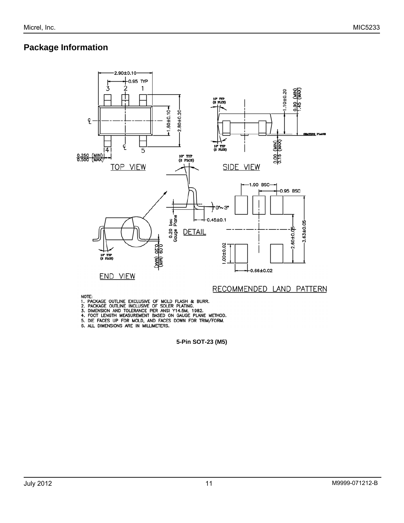### **Package Information**



- 
- 
- 
- NOTE:<br>1. PACKAGE OUTLINE EXCLUSIVE OF MOLD FLASH & BURR.<br>2. PACKAGE OUTLINE INCLUSIVE OF SOLER PLATING.<br>3. DIMENSION AND TOLERANCE PER ANSI Y14.5M, 1982.<br>4. FOOT LENGTH MEASUREMENT BASED ON GAUGE PLANE METHOD.<br>5. DIE FACES
- 

**5-Pin SOT-23 (M5)**